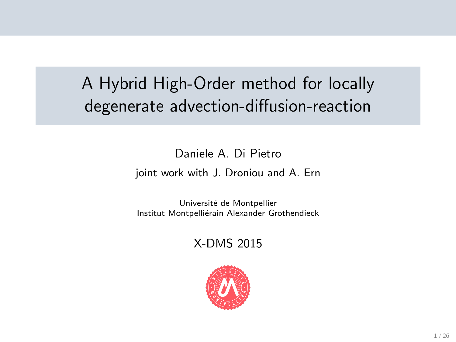# A Hybrid High-Order method for locally degenerate advection-diffusion-reaction

Daniele A. Di Pietro

joint work with J. Droniou and A. Ern

Université de Montpellier Institut Montpelliérain Alexander Grothendieck

X-DMS 2015

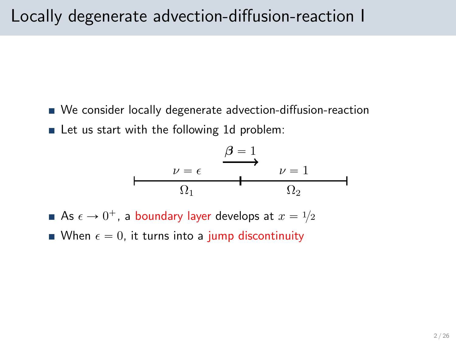- We consider locally degenerate advection-diffusion-reaction
- $\blacksquare$  Let us start with the following 1d problem:

$$
\begin{array}{c}\n \varepsilon \longrightarrow 1 \\
\downarrow \nu = \epsilon \longrightarrow 1 \\
\Omega_1 \longrightarrow 0 \\
\Omega_2\n \end{array}
$$

- As  $\epsilon \rightarrow 0^+$ , a boundary layer develops at  $x = {^{1}\!/}{2}$
- When  $\epsilon = 0$ , it turns into a jump discontinuity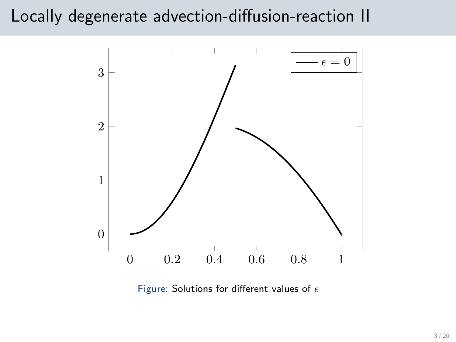### Locally degenerate advection-diffusion-reaction II



Figure: Solutions for different values of  $\epsilon$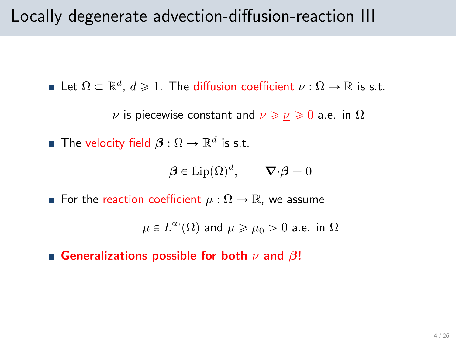### Locally degenerate advection-diffusion-reaction III

Let  $\Omega \subset \mathbb{R}^d$ ,  $d \geqslant 1$ . The diffusion coefficient  $\nu : \Omega \to \mathbb{R}$  is s.t.

*ν* is piecewise constant and  $\nu \ge \nu \ge 0$  a.e. in  $\Omega$ 

The velocity field  $\boldsymbol{\beta}: \Omega \to \mathbb{R}^d$  is s.t.

$$
\boldsymbol{\beta} \in \text{Lip}(\Omega)^d, \qquad \boldsymbol{\nabla} \cdot \boldsymbol{\beta} \equiv 0
$$

**■** For the reaction coefficient  $\mu : \Omega \to \mathbb{R}$ , we assume

 $\mu\in L^\infty(\Omega)$  and  $\mu\geqslant \mu_0>0$  a.e. in  $\Omega$ 

Generalizations possible for both  $\nu$  and  $\beta!$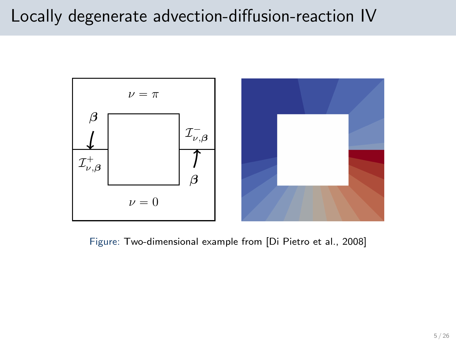## Locally degenerate advection-diffusion-reaction IV



Figure: Two-dimensional example from [\[Di Pietro et al., 2008\]](#page-24-0)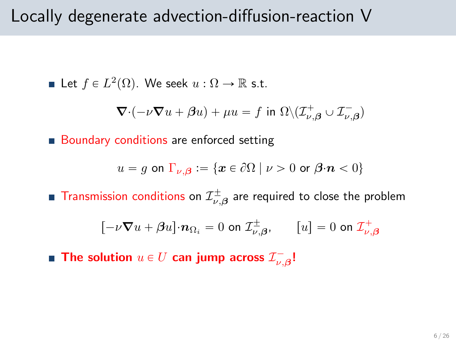### Locally degenerate advection-diffusion-reaction V

Let 
$$
f \in L^2(\Omega)
$$
. We seek  $u : \Omega \to \mathbb{R}$  s.t.

$$
\nabla \cdot (-\nu \nabla u + \beta u) + \mu u = f \text{ in } \Omega \setminus (\mathcal{I}_{\nu,\beta}^+ \cup \mathcal{I}_{\nu,\beta}^-)
$$

**Boundary conditions are enforced setting** 

$$
u = g \text{ on } \Gamma_{\nu,\beta} := \{ \mathbf{x} \in \partial \Omega \mid \nu > 0 \text{ or } \beta \cdot \mathbf{n} < 0 \}
$$

Transmission conditions on  $\mathcal{I}_{\nu,\boldsymbol{\beta}}^{\pm}$  are required to close the problem

$$
\left[-\nu \nabla u + \beta u\right] \cdot \mathbf{n}_{\Omega_i} = 0 \text{ on } \mathcal{I}_{\nu,\boldsymbol{\beta}}^{\pm}, \qquad [u] = 0 \text{ on } \mathcal{I}_{\nu,\boldsymbol{\beta}}^+
$$

The solution  $u \in U$  can jump across  $\mathcal{I}^{-}_{\nu,\boldsymbol{\beta}}$ !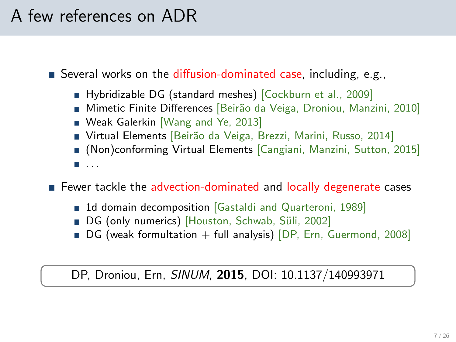# A few references on ADR

Several works on the diffusion-dominated case, including, e.g.,

- Hybridizable DG (standard meshes) [\[Cockburn et al., 2009\]](#page-24-1)
- Mimetic Finite Differences [Beirão da Veiga, Droniou, Manzini, 2010]
- Weak Galerkin [\[Wang and Ye, 2013\]](#page-25-0)
- Virtual Elements [Beirão da Veiga, Brezzi, Marini, Russo, 2014]
- (Non)conforming Virtual Elements [Cangiani, Manzini, Sutton, 2015]

. . .

**F** Fewer tackle the advection-dominated and locally degenerate cases

- 1d domain decomposition Gastaldi and Quarteroni, 1989]
- DG (only numerics) [Houston, Schwab, Süli, 2002]
- $\blacksquare$  DG (weak formultation + full analysis) [DP, Ern, Guermond, 2008]

DP, Droniou, Ern, SINUM, 2015, DOI: [10.1137/140993971](http://dx.doi.org/10.1137/140993971)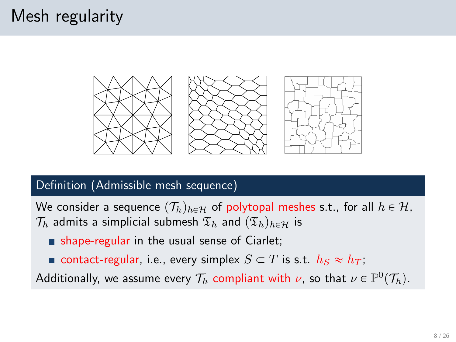# Mesh regularity



#### Definition (Admissible mesh sequence)

We consider a sequence  $(\mathcal{T}_h)_{h \in \mathcal{H}}$  of polytopal meshes s.t., for all  $h \in \mathcal{H}$ ,  $\mathcal{T}_h$  admits a simplicial submesh  $\mathfrak{T}_h$  and  $(\mathfrak{T}_h)_{h\in\mathcal{H}}$  is

- shape-regular in the usual sense of Ciarlet;
- contact-regular, i.e., every simplex  $S \subset T$  is s.t.  $h_S \approx h_T$ ;

Additionally, we assume every  $\mathcal{T}_h$  compliant with  $\nu$ , so that  $\nu \in \mathbb{P}^0(\mathcal{T}_h).$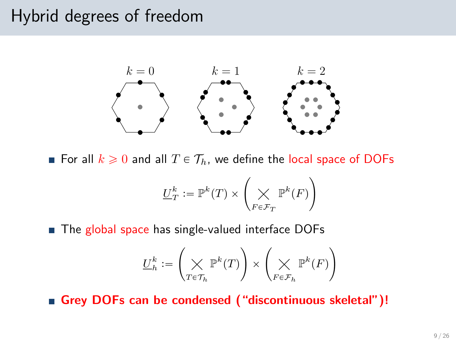## Hybrid degrees of freedom



For all  $k \geq 0$  and all  $T \in \mathcal{T}_h$ , we define the local space of DOFs

$$
\underline{U}_T^k:=\mathbb{P}^k(T)\times\left(\bigtimes_{F\in\mathcal{F}_T}\mathbb{P}^k(F)\right)
$$

■ The global space has single-valued interface DOFs

$$
\underline{U}_h^k:=\left(\bigtimes_{T\in\mathcal{T}_h}\mathbb{P}^k(T)\right)\times\left(\bigtimes_{F\in\mathcal{F}_h}\mathbb{P}^k(F)\right)
$$

Grey DOFs can be condensed ("discontinuous skeletal")!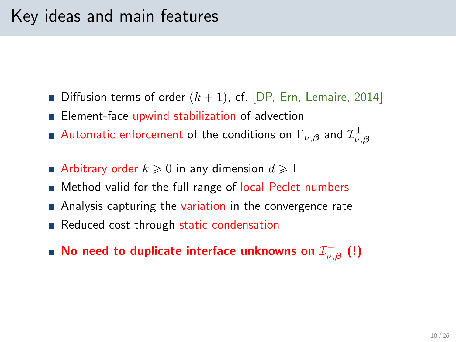- Diffusion terms of order  $(k + 1)$ , cf. [DP, Ern, Lemaire, 2014]
- **Element-face upwind stabilization of advection**
- Automatic enforcement of the conditions on  $\Gamma_{\nu,\boldsymbol{\beta}}$  and  $\mathcal{I}_{\nu,\boldsymbol{\beta}}^{\pm}$
- Arbitrary order  $k \geqslant 0$  in any dimension  $d \geqslant 1$
- Method valid for the full range of local Peclet numbers
- Analysis capturing the variation in the convergence rate
- Reduced cost through static condensation
- No need to duplicate interface unknowns on  $\mathcal{I}^+_{\nu,\beta}$   $\left( ! \right)$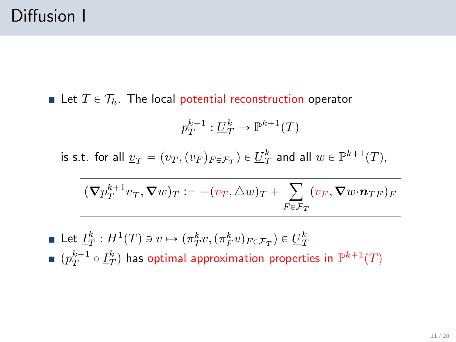Let  $T \in \mathcal{T}_h$ . The local potential reconstruction operator

$$
p_T^{k+1}:\underline{U}_T^k\to\mathbb{P}^{k+1}(T)
$$

is s.t. for all  $\underline{v}_T = (v_T, (v_F)_{F \in \mathcal{F}_T}) \in \underline{U}_T^k$  and all  $w \in \mathbb{P}^{k+1}(T)$ ,

$$
(\boldsymbol{\nabla} p_T^{k+1}\underline{v}_T, \boldsymbol{\nabla} w)_T := -(v_T, \triangle w)_T + \sum_{F \in \mathcal{F}_T} (v_F, \boldsymbol{\nabla} w {\cdot} \boldsymbol{n}_{TF})_F
$$

Let  $\underline{I}_T^k : H^1(T) \ni v \mapsto (\pi_T^k v, (\pi_F^k v)_{F \in \mathcal{F}_T}) \in \underline{U}_T^k$  $(p_T^{k+1}\circ \underline{I}_T^k)$  has optimal approximation properties in  $\mathbb{P}^{k+1}(T)$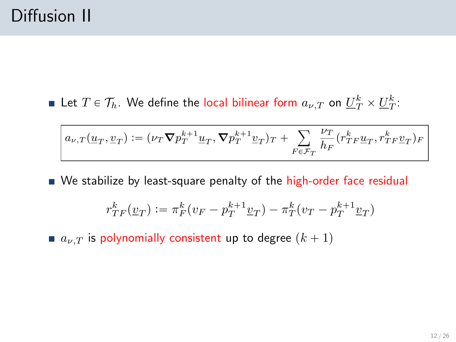Let  $T \in \mathcal{T}_h$ . We define the local bilinear form  $a_{\nu,T}$  on  $\underline{U}_T^k \times \underline{U}_T^k$ :

$$
a_{\nu,T}(\underline{u}_T,\underline{v}_T):=(\nu_T\boldsymbol{\nabla} p_T^{k+1}\underline{u}_T,\boldsymbol{\nabla} p_T^{k+1}\underline{v}_T)_T+\sum_{F\in\mathcal{F}_T}\frac{\nu_T}{h_F}(r_{TF}^k\underline{u}_T,r_{TF}^k\underline{v}_T)_F
$$

 $\blacksquare$  We stabilize by least-square penalty of the high-order face residual

$$
r_{TF}^k(\underline{v}_T):=\pi_F^k(v_F-p_T^{k+1}\underline{v}_T)-\pi_T^k(v_T-p_T^{k+1}\underline{v}_T)
$$

 $a_{\nu,T}$  is polynomially consistent up to degree  $(k + 1)$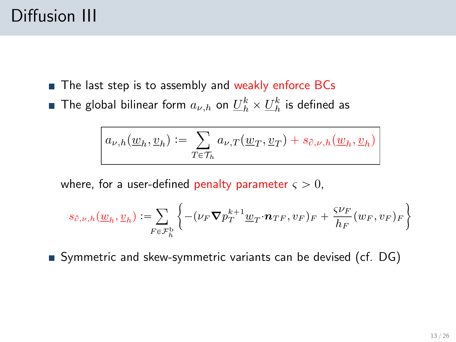# Diffusion III

- The last step is to assembly and weakly enforce BCs
- The global bilinear form  $a_{\nu,h}$  on  $\underline{U}_h^k\times \underline{U}_h^k$  is defined as

$$
a_{\nu,h}(\underline{w}_h, \underline{v}_h) := \sum_{T \in \mathcal{T}_h} a_{\nu,T}(\underline{w}_T, \underline{v}_T) + s_{\partial,\nu,h}(\underline{w}_h, \underline{v}_h)
$$

where, for a user-defined penalty parameter  $\varsigma > 0$ ,

$$
s_{\partial,\nu,h}(\underline{w}_h,\underline{v}_h) := \sum_{F \in \mathcal{F}_h^{\mathrm{b}}} \left\{ -(\nu_F \boldsymbol{\nabla} p_T^{k+1} \underline{w}_T {\cdot} \boldsymbol{n}_{TF}, v_F)_F + \frac{\varsigma \nu_F}{h_F}(w_F, v_F)_F \right\}
$$

Symmetric and skew-symmetric variants can be devised (cf. DG)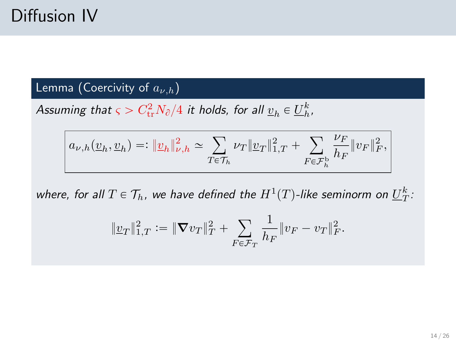#### Lemma (Coercivity of  $a_{\nu,h}$ )

Assuming that  $\varsigma > C^2_{\text{tr}} N_{\partial} /4$  it holds, for all  $\underline{v}_h \in \underline{U}_h^k$ ,

$$
a_{\nu,h}(\underline{v}_h,\underline{v}_h)=:\|\underline{v}_h\|_{\nu,h}^2\simeq\sum_{T\in\mathcal{T}_h}\nu_T\|\underline{v}_T\|_{1,T}^2+\sum_{F\in\mathcal{F}_h^{\mathrm{b}}}\frac{\nu_F}{h_F}\|v_F\|_F^2,
$$

where, for all  $T \in \mathcal{T}_h$ , we have defined the  $H^1(T)$ -like seminorm on  $\underline{U}_T^k$ :

$$
\|\underline{v}_T\|_{1,T}^2 := \|\nabla v_T\|_T^2 + \sum_{F \in \mathcal{F}_T} \frac{1}{h_F} \|v_F - v_T\|_F^2.
$$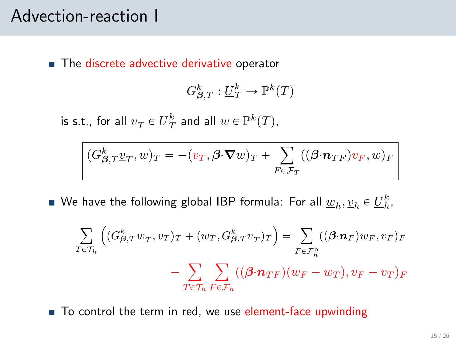### Advection-reaction I

■ The discrete advective derivative operator

$$
G_{\beta,T}^k: \underline{U}_T^k \to \mathbb{P}^k(T)
$$

is s.t., for all  $\underline{v}_T \in \underline{U}_T^k$  and all  $w \in \mathbb{P}^k(T)$ ,

$$
(G_{\beta,T}^k \underline{v}_T, \underline{w})_T = -(\underline{v}_T, \beta \cdot \nabla \underline{w})_T + \sum_{F \in \mathcal{F}_T} ((\beta \cdot n_{TF}) \underline{v}_F, \underline{w})_F
$$

We have the following global IBP formula: For all  $\underline{w}_h, \underline{v}_h \in \underline{U}_h^k,$ 

$$
\sum_{T \in \mathcal{T}_h} \left( (G_{\beta,T}^k \underline{w}_T, v_T)_T + (w_T, G_{\beta,T}^k \underline{v}_T)_T \right) = \sum_{F \in \mathcal{F}_h^b} ((\beta \cdot \mathbf{n}_F) w_F, v_F)_F
$$

$$
- \sum_{T \in \mathcal{T}_h} \sum_{F \in \mathcal{F}_h} ((\beta \cdot \mathbf{n}_{TF})(w_F - w_T), v_F - v_T)_F
$$

■ To control the term in red, we use element-face upwinding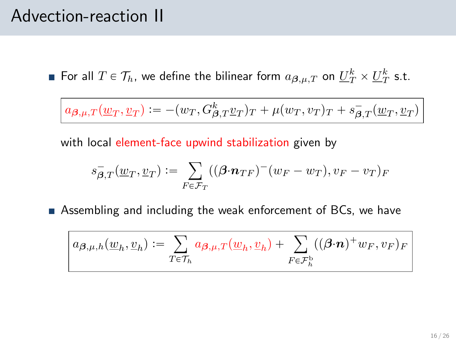### Advection-reaction II

For all  $T \in \mathcal{T}_h$ , we define the bilinear form  $a_{\boldsymbol{\beta},\mu,T}$  on  $\underline{U}_T^k \times \underline{U}_T^k$  s.t.

 $a_{\boldsymbol{\beta},\mu,T}(\underline{w}_T, \underline{v}_T) := -(w_T, G_{\boldsymbol{\beta},T}^k \underline{v}_T)_T + \mu(w_T, v_T)_T + s_{\boldsymbol{\beta},T}^-(\underline{w}_T, \underline{v}_T)$ 

with local element-face upwind stabilization given by

$$
s_{\boldsymbol{\beta},T}^-(\underline{w}_T,\underline{v}_T):=\sum_{F\in\mathcal{F}_T}((\boldsymbol{\beta}{\cdot}\boldsymbol{n}_{TF})^-(w_F-w_T),v_F-v_T)_F
$$

Assembling and including the weak enforcement of BCs, we have

$$
a_{\boldsymbol{\beta},\mu,h}(\underline{w}_h,\underline{v}_h) := \sum_{T\in\mathcal{T}_h} a_{\boldsymbol{\beta},\mu,T}(\underline{w}_h,\underline{v}_h) + \sum_{F\in\mathcal{F}_h^{\mathrm{b}}} ((\boldsymbol{\beta}\cdot\boldsymbol{n})^+w_F,v_F)_F
$$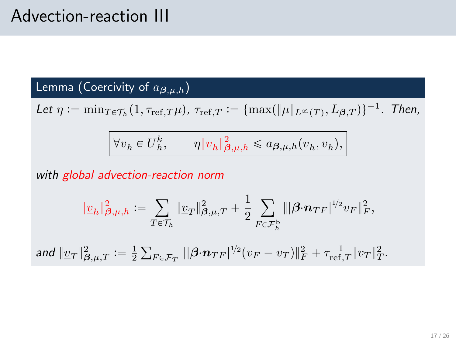## Advection-reaction III

Lemma (Coercivity of  $a_{\boldsymbol{\beta},\mu,h}$ )

Let  $\eta := \min_{T \in \mathcal{T}_h} (1, \tau_{\text{ref},T} \mu)$ ,  $\tau_{\text{ref},T} := \{ \max(||\mu||_{L^{\infty}(T)}, L_{\beta,T}) \}^{-1}$ . Then,

$$
\forall \underline{v}_h \in \underline{U}_h^k, \qquad \eta \|\underline{v}_h\|_{\beta,\mu,h}^2 \leq a_{\beta,\mu,h}(\underline{v}_h, \underline{v}_h),
$$

with global advection-reaction norm

$$
\|\underline{v}_h\|_{\boldsymbol{\beta},\mu,h}^2 := \sum_{T \in \mathcal{T}_h} \|\underline{v}_T\|_{\boldsymbol{\beta},\mu,T}^2 + \frac{1}{2} \sum_{F \in \mathcal{F}_h^{\mathrm{b}}} \||\boldsymbol{\beta} \cdot \boldsymbol{n}_{TF}|^{1/2} v_F\|_F^2,
$$
  
and 
$$
\|\underline{v}_T\|_{\boldsymbol{\beta},\mu,T}^2 := \frac{1}{2} \sum_{F \in \mathcal{F}_T} \||\boldsymbol{\beta} \cdot \boldsymbol{n}_{TF}|^{1/2} (v_F - v_T)\|_F^2 + \tau_{\mathrm{ref},T}^{-1} \|v_T\|_T^2.
$$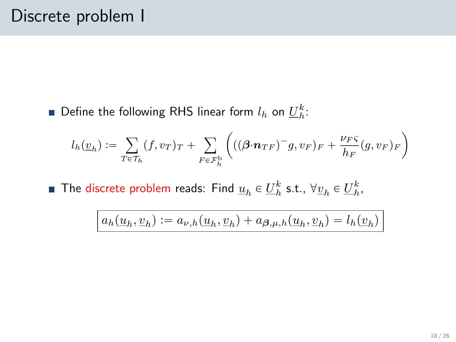Define the following RHS linear form  $l_h$  on  $\underline{U}_h^k$ :

$$
l_h(\underline{v}_h) := \sum_{T \in \mathcal{T}_h} (f, v_T)_T + \sum_{F \in \mathcal{F}_h^b} \left( ((\boldsymbol{\beta} \cdot \boldsymbol{n}_{TF})^{-} g, v_F)_F + \frac{\nu_{FS}}{h_F} (g, v_F)_F \right)
$$

The discrete problem reads: Find  $\underline{u}_h \in \underline{U}_h^k$  s.t.,  $\forall \underline{v}_h \in \underline{U}_h^k$ ,

$$
a_h(\underline{u}_h, \underline{v}_h) := a_{\nu,h}(\underline{u}_h, \underline{v}_h) + a_{\boldsymbol{\beta},\mu,h}(\underline{u}_h, \underline{v}_h) = l_h(\underline{v}_h)
$$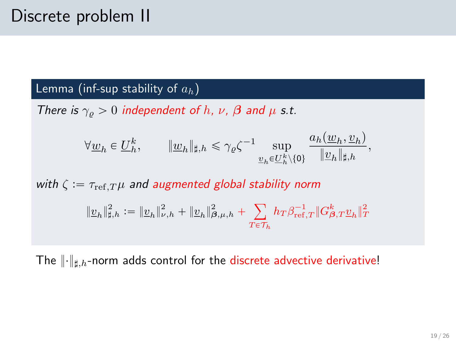#### Lemma (inf-sup stability of  $a_h$ )

There is  $\gamma_{\rho} > 0$  independent of h, v,  $\beta$  and  $\mu$  s.t.

$$
\forall \underline{w}_h \in \underline{U}_h^k, \qquad \|\underline{w}_h\|_{\sharp,h} \leq \gamma_\varrho \zeta^{-1} \sup_{\underline{v}_h \in \underline{U}_h^k \setminus \{0\}} \frac{a_h(\underline{w}_h, \underline{v}_h)}{\|\underline{v}_h\|_{\sharp,h}},
$$

with  $\zeta := \tau_{\text{ref},T} \mu$  and augmented global stability norm  $||\underline{v}_h||^2_{\sharp,h} := ||\underline{v}_h||^2_{\nu,h} + ||\underline{v}_h||^2_{\beta,\mu,h}$  $T \epsilon \mathcal{T}_h$  $h_T \beta^{-1}_{{\rm ref},T} \| G^k_{\boldsymbol{\beta},T} \underline{v}_h \|_T^2$ 

The  $\|\cdot\|_{\sharp,h}$ -norm adds control for the discrete advective derivative!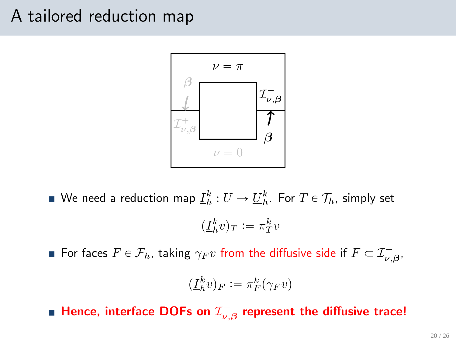### A tailored reduction map



We need a reduction map  $\underline{I}_h^k:U\to \underline{U}_h^k.$  For  $T\in \mathcal{T}_h,$  simply set  $(\underline{I}_h^k v)_T := \pi_T^k v$ 

For faces  $F \in \mathcal{F}_h$ , taking  $\gamma_F v$  from the diffusive side if  $F \subset \mathcal{I}^-_{\nu,\boldsymbol{\beta}},$ 

$$
(\underline{I}_h^k v)_F := \pi_F^k(\gamma_F v)
$$

Hence, interface DOFs on  $\mathcal{I}^-_{\nu,\beta}$  represent the diffusive trace!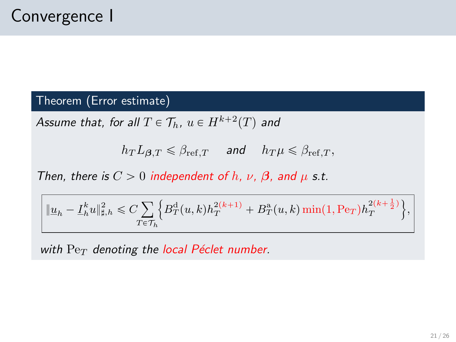#### Theorem (Error estimate)

Assume that, for all  $T \in \mathcal{T}_h$ ,  $u \in H^{k+2}(T)$  and

 $h_T L_{\beta,T} \leq \beta_{\text{ref.}T}$  and  $h_T \mu \leq \beta_{\text{ref.}T}$ ,

Then, there is  $C > 0$  independent of h, v,  $\beta$ , and  $\mu$  s.t.

$$
\|\underline{u}_h-\underline{I}_h^k u\|_{\sharp,h}^2\leqslant C\!\sum_{T\in\mathcal{T}_h}\Bigl\{B_T^{\rm d}(u,k)h_T^{2(k+1)}+B_T^{\rm a}(u,k)\min(1,{\rm Pe}_T)h_T^{2(k+\frac{1}{2})}\Bigr\},
$$

with  $Pe<sub>T</sub>$  denoting the local Péclet number.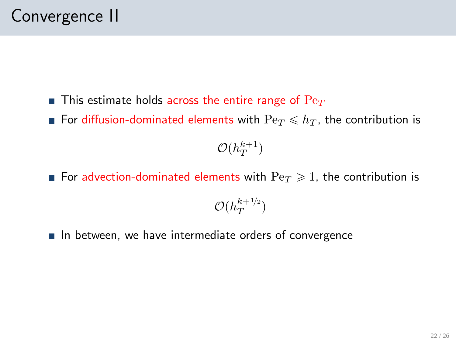- **This estimate holds across the entire range of**  $Pe_T$
- For diffusion-dominated elements with  $\text{Pe}_T \leq h_T$ , the contribution is

 $\mathcal{O}(h_T^{k+1})$ 

- **For advection-dominated elements with**  $\text{Pe}_T \geq 1$ , the contribution is  $\mathcal{O}(h_T^{k+1/2})$
- $\blacksquare$  In between, we have intermediate orders of convergence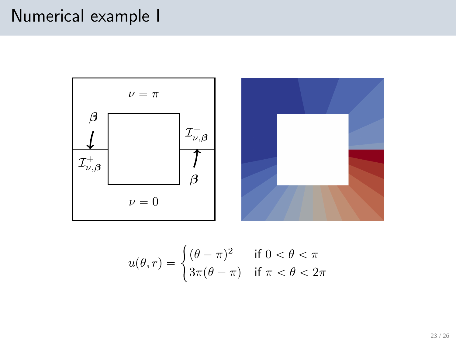# Numerical example I



$$
u(\theta, r) = \begin{cases} (\theta - \pi)^2 & \text{if } 0 < \theta < \pi \\ 3\pi(\theta - \pi) & \text{if } \pi < \theta < 2\pi \end{cases}
$$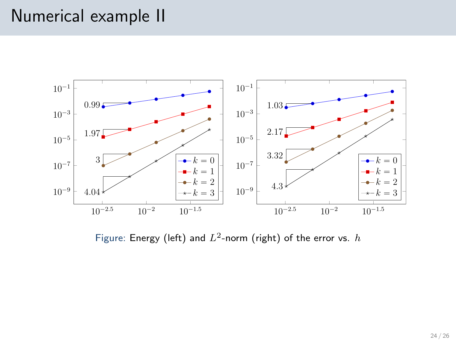## Numerical example II



Figure: Energy (left) and  $L^2$ -norm (right) of the error vs.  $h$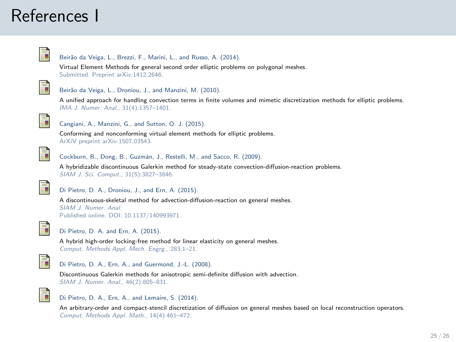## References I



#### Beirão da Veiga, L., Brezzi, F., Marini, L., and Russo, A. (2014).

Virtual Element Methods for general second order elliptic problems on polygonal meshes. Submitted. Preprint [arXiv:1412.2646.](http://arxiv.org/abs/1412.2646)



#### Beirão da Veiga, L., Droniou, J., and Manzini, M. (2010).

A unified approach for handling convection terms in finite volumes and mimetic discretization methods for elliptic problems. IMA J. Numer. Anal., 31(4):1357–1401.



#### Cangiani, A., Manzini, G., and Sutton, O. J. (2015).

Conforming and nonconforming virtual element methods for elliptic problems. ArXiV preprint [arXiv:1507.03543.](http://arxiv.org/abs/1507.03543)

<span id="page-24-1"></span>

Cockburn, B., Dong, B., Guzmán, J., Restelli, M., and Sacco, R. (2009).

A hybridizable discontinuous Galerkin method for steady-state convection-diffusion-reaction problems. SIAM J. Sci. Comput., 31(5):3827–3846.



Di Pietro, D. A., Droniou, J., and Ern, A. (2015).

A discontinuous-skeletal method for advection-diffusion-reaction on general meshes. SIAM J. Numer. Anal. Published online. DOI: [10.1137/140993971.](http://dx.doi.org/10.1137/140993971)



#### Di Pietro, D. A. and Ern, A. (2015).

A hybrid high-order locking-free method for linear elasticity on general meshes. Comput. Methods Appl. Mech. Engrg., 283:1–21.

<span id="page-24-0"></span>

#### Di Pietro, D. A., Ern, A., and Guermond, J.-L. (2008).

Discontinuous Galerkin methods for anisotropic semi-definite diffusion with advection. SIAM J. Numer. Anal., 46(2):805–831.



#### Di Pietro, D. A., Ern, A., and Lemaire, S. (2014).

An arbitrary-order and compact-stencil discretization of diffusion on general meshes based on local reconstruction operators. Comput. Methods Appl. Math., 14(4):461–472.